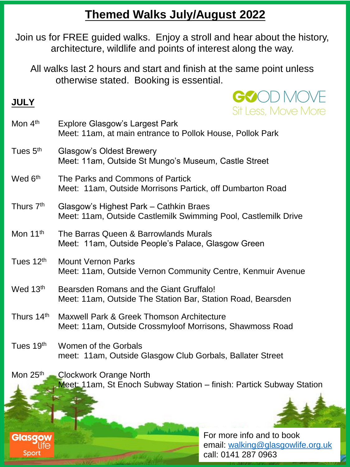## **Themed Walks July/August 2022**

Join us for FREE guided walks. Enjoy a stroll and hear about the history, architecture, wildlife and points of interest along the way.

All walks last 2 hours and start and finish at the same point unless otherwise stated. Booking is essential.

## **JULY**

Sport



call: 0141 287 0963

| Mon 4 <sup>th</sup>  | <b>Explore Glasgow's Largest Park</b><br>Meet: 11am, at main entrance to Pollok House, Pollok Park       |                                                                |  |
|----------------------|----------------------------------------------------------------------------------------------------------|----------------------------------------------------------------|--|
| Tues 5th             | <b>Glasgow's Oldest Brewery</b><br>Meet: 11am, Outside St Mungo's Museum, Castle Street                  |                                                                |  |
| Wed 6 <sup>th</sup>  | The Parks and Commons of Partick<br>Meet: 11am, Outside Morrisons Partick, off Dumbarton Road            |                                                                |  |
| Thurs 7th            | Glasgow's Highest Park - Cathkin Braes<br>Meet: 11am, Outside Castlemilk Swimming Pool, Castlemilk Drive |                                                                |  |
| Mon 11 <sup>th</sup> | The Barras Queen & Barrowlands Murals<br>Meet: 11am, Outside People's Palace, Glasgow Green              |                                                                |  |
| Tues 12th            | <b>Mount Vernon Parks</b><br>Meet: 11am, Outside Vernon Community Centre, Kenmuir Avenue                 |                                                                |  |
| Wed 13th             | Bearsden Romans and the Giant Gruffalo!<br>Meet: 11am, Outside The Station Bar, Station Road, Bearsden   |                                                                |  |
| Thurs 14th           | Maxwell Park & Greek Thomson Architecture<br>Meet: 11am, Outside Crossmyloof Morrisons, Shawmoss Road    |                                                                |  |
| Tues 19th            | Women of the Gorbals<br>meet: 11am, Outside Glasgow Club Gorbals, Ballater Street                        |                                                                |  |
| Mon 25th             | <b>Clockwork Orange North</b><br>Meet: 11am, St Enoch Subway Station - finish: Partick Subway Station    |                                                                |  |
|                      |                                                                                                          |                                                                |  |
| <b>Glasgow</b>       |                                                                                                          | For more info and to book<br>email: walking@glasgowlife.org.uk |  |